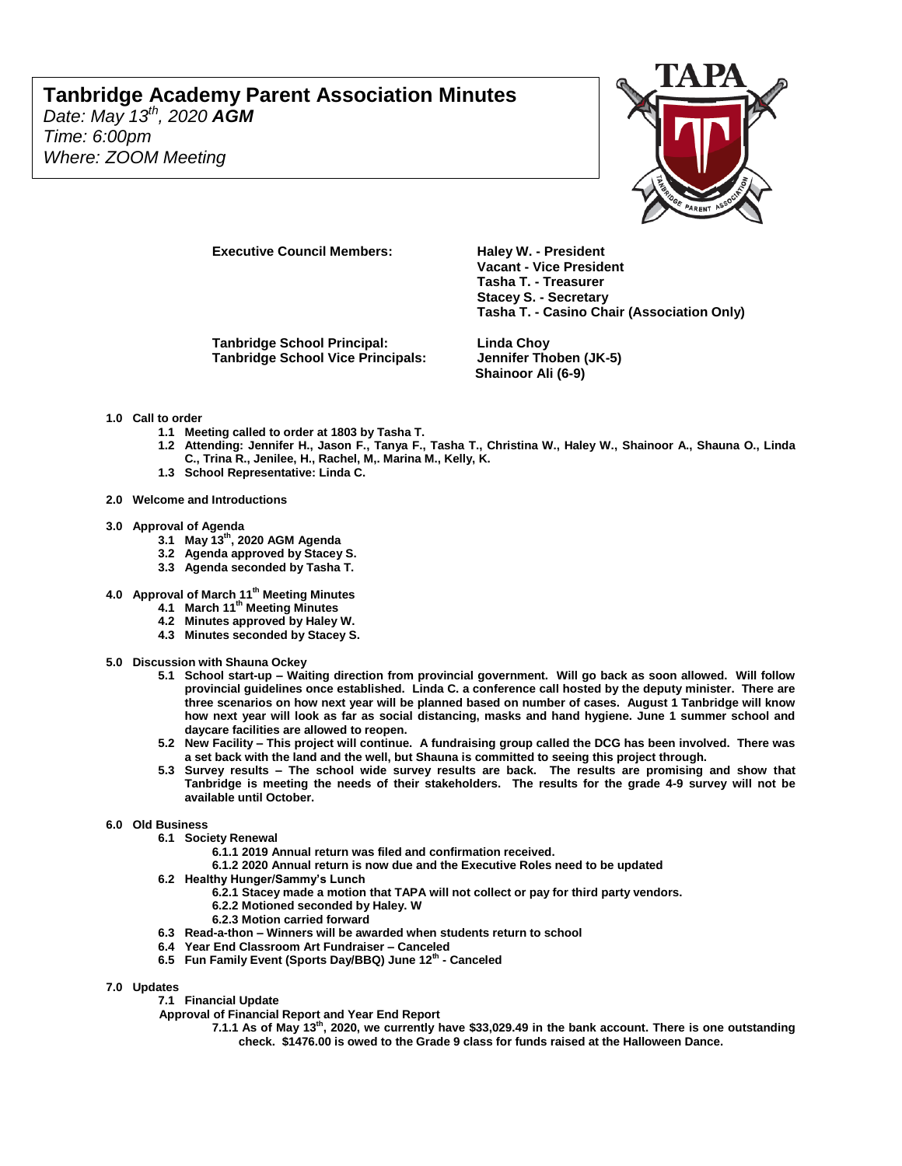*Date: May 13 th, 2020 AGM Time: 6:00pm Where: ZOOM Meeting*



**Executive Council Members: Haley W. - President** 

**Tanbridge School Principal: Linda Choy Tanbridge School Vice Principals: Jennifer Thoben (JK-5)**

**Tasha T. - Treasurer Stacey S. - Secretary Tasha T. - Casino Chair (Association Only)**

**Shainoor Ali (6-9)**

**Vacant - Vice President** 

#### **1.0 Call to order**

- **1.1 Meeting called to order at 1803 by Tasha T.**
- **1.2 Attending: Jennifer H., Jason F., Tanya F., Tasha T., Christina W., Haley W., Shainoor A., Shauna O., Linda C., Trina R., Jenilee, H., Rachel, M,. Marina M., Kelly, K.**
- **1.3 School Representative: Linda C.**
- **2.0 Welcome and Introductions**
- **3.0 Approval of Agenda** 
	- **3.1 May 13 th, 2020 AGM Agenda**
	- **3.2 Agenda approved by Stacey S.**
	- **3.3 Agenda seconded by Tasha T.**
- **4.0 Approval of March 11th Meeting Minutes**
	- **4.1 March 11th Meeting Minutes**
	- **4.2 Minutes approved by Haley W.**
	- **4.3 Minutes seconded by Stacey S.**
- **5.0 Discussion with Shauna Ockey**
	- **5.1 School start-up – Waiting direction from provincial government. Will go back as soon allowed. Will follow provincial guidelines once established. Linda C. a conference call hosted by the deputy minister. There are three scenarios on how next year will be planned based on number of cases. August 1 Tanbridge will know how next year will look as far as social distancing, masks and hand hygiene. June 1 summer school and daycare facilities are allowed to reopen.**
	- **5.2 New Facility – This project will continue. A fundraising group called the DCG has been involved. There was a set back with the land and the well, but Shauna is committed to seeing this project through.**
	- **5.3 Survey results – The school wide survey results are back. The results are promising and show that Tanbridge is meeting the needs of their stakeholders. The results for the grade 4-9 survey will not be available until October.**

#### **6.0 Old Business**

- **6.1 Society Renewal** 
	- **6.1.1 2019 Annual return was filed and confirmation received.**
	- **6.1.2 2020 Annual return is now due and the Executive Roles need to be updated**
- **6.2 Healthy Hunger/Sammy's Lunch** 
	- **6.2.1 Stacey made a motion that TAPA will not collect or pay for third party vendors.**
	- **6.2.2 Motioned seconded by Haley. W**
	- **6.2.3 Motion carried forward**
- **6.3 Read-a-thon – Winners will be awarded when students return to school**
- **6.4 Year End Classroom Art Fundraiser – Canceled**
- **6.5 Fun Family Event (Sports Day/BBQ) June 12th - Canceled**
- **7.0 Updates** 
	- **7.1 Financial Update**
	- **Approval of Financial Report and Year End Report**
		- **7.1.1 As of May 13 th, 2020, we currently have \$33,029.49 in the bank account. There is one outstanding check. \$1476.00 is owed to the Grade 9 class for funds raised at the Halloween Dance.**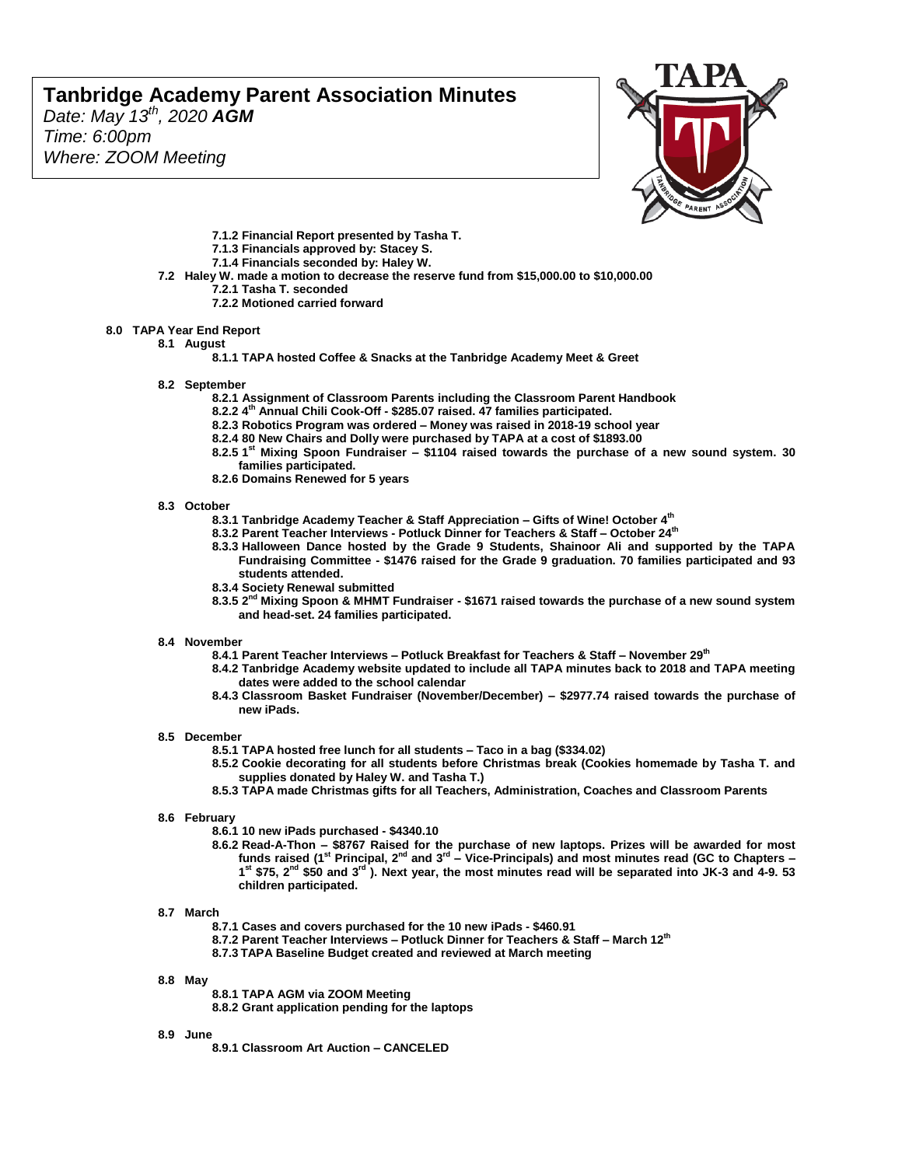*Date: May 13 th, 2020 AGM Time: 6:00pm Where: ZOOM Meeting*



- **7.1.2 Financial Report presented by Tasha T.**
- **7.1.3 Financials approved by: Stacey S.**
- **7.1.4 Financials seconded by: Haley W.**
- **7.2 Haley W. made a motion to decrease the reserve fund from \$15,000.00 to \$10,000.00 7.2.1 Tasha T. seconded**
	- **7.2.2 Motioned carried forward**

#### **8.0 TAPA Year End Report**

**8.1 August**

**8.1.1 TAPA hosted Coffee & Snacks at the Tanbridge Academy Meet & Greet**

- **8.2 September**
	- **8.2.1 Assignment of Classroom Parents including the Classroom Parent Handbook**
	- **8.2.2 4 th Annual Chili Cook-Off - \$285.07 raised. 47 families participated.**
	- **8.2.3 Robotics Program was ordered – Money was raised in 2018-19 school year**
	- **8.2.4 80 New Chairs and Dolly were purchased by TAPA at a cost of \$1893.00**
	- **8.2.5 1 st Mixing Spoon Fundraiser – \$1104 raised towards the purchase of a new sound system. 30 families participated.**
	- **8.2.6 Domains Renewed for 5 years**

#### **8.3 October**

- **8.3.1 Tanbridge Academy Teacher & Staff Appreciation – Gifts of Wine! October 4th**
- **8.3.2 Parent Teacher Interviews - Potluck Dinner for Teachers & Staff – October 24th**
- **8.3.3 Halloween Dance hosted by the Grade 9 Students, Shainoor Ali and supported by the TAPA Fundraising Committee - \$1476 raised for the Grade 9 graduation. 70 families participated and 93 students attended.**
- **8.3.4 Society Renewal submitted**
- **8.3.5 2 nd Mixing Spoon & MHMT Fundraiser - \$1671 raised towards the purchase of a new sound system and head-set. 24 families participated.**

#### **8.4 November**

- **8.4.1 Parent Teacher Interviews – Potluck Breakfast for Teachers & Staff – November 29th**
- **8.4.2 Tanbridge Academy website updated to include all TAPA minutes back to 2018 and TAPA meeting dates were added to the school calendar**
- **8.4.3 Classroom Basket Fundraiser (November/December) – \$2977.74 raised towards the purchase of new iPads.**

#### **8.5 December**

- **8.5.1 TAPA hosted free lunch for all students – Taco in a bag (\$334.02)**
- **8.5.2 Cookie decorating for all students before Christmas break (Cookies homemade by Tasha T. and supplies donated by Haley W. and Tasha T.)**
- **8.5.3 TAPA made Christmas gifts for all Teachers, Administration, Coaches and Classroom Parents**

#### **8.6 February**

- **8.6.1 10 new iPads purchased - \$4340.10**
- **8.6.2 Read-A-Thon – \$8767 Raised for the purchase of new laptops. Prizes will be awarded for most funds raised (1st Principal, 2nd and 3rd – Vice-Principals) and most minutes read (GC to Chapters – 1 st \$75, 2nd \$50 and 3rd ). Next year, the most minutes read will be separated into JK-3 and 4-9. 53 children participated.**

#### **8.7 March**

- **8.7.1 Cases and covers purchased for the 10 new iPads - \$460.91**
- **8.7.2 Parent Teacher Interviews – Potluck Dinner for Teachers & Staff – March 12th**
- **8.7.3 TAPA Baseline Budget created and reviewed at March meeting**

#### **8.8 May**

**8.8.1 TAPA AGM via ZOOM Meeting 8.8.2 Grant application pending for the laptops**

#### **8.9 June**

**8.9.1 Classroom Art Auction – CANCELED**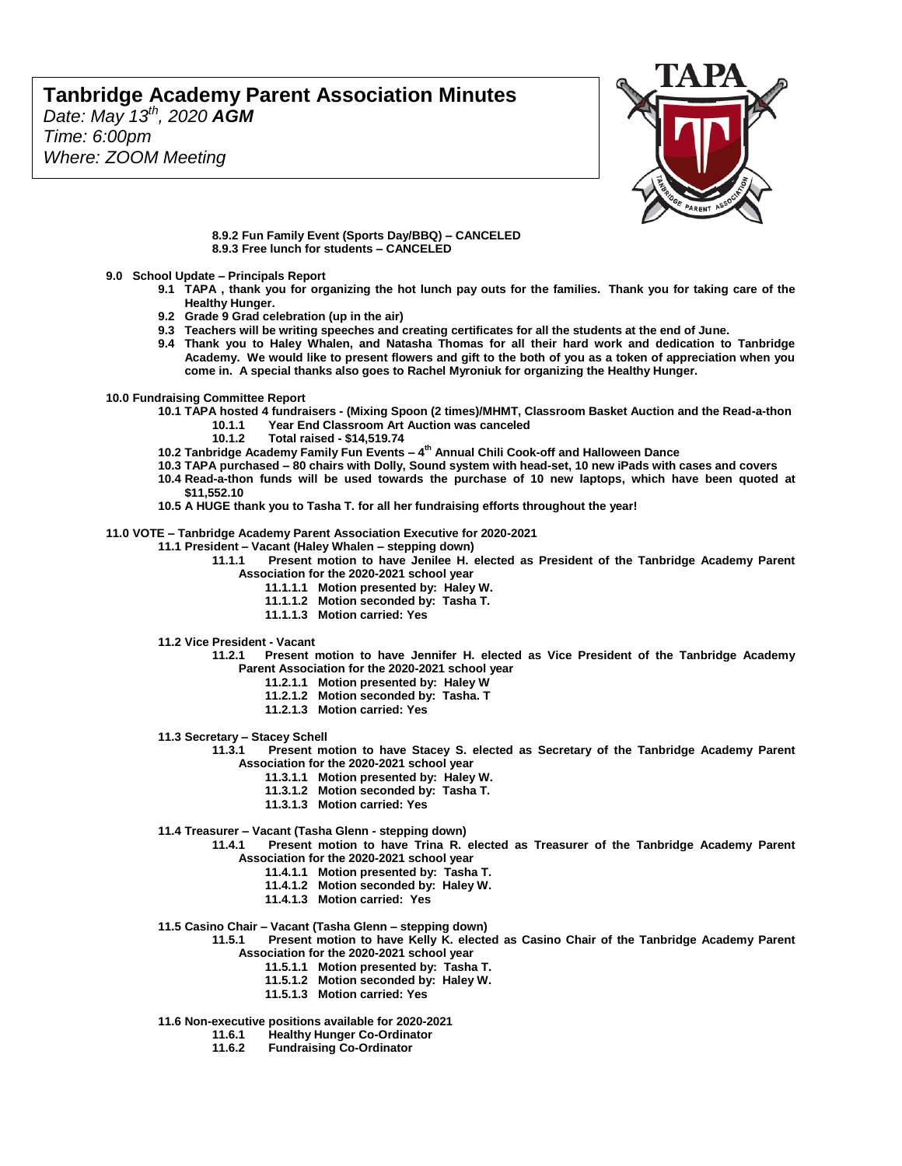*Date: May 13 th, 2020 AGM Time: 6:00pm Where: ZOOM Meeting*



**8.9.2 Fun Family Event (Sports Day/BBQ) – CANCELED 8.9.3 Free lunch for students – CANCELED**

- **9.0 School Update – Principals Report**
	- **9.1 TAPA , thank you for organizing the hot lunch pay outs for the families. Thank you for taking care of the Healthy Hunger.**
	- **9.2 Grade 9 Grad celebration (up in the air)**
	- **9.3 Teachers will be writing speeches and creating certificates for all the students at the end of June.**
	- **9.4 Thank you to Haley Whalen, and Natasha Thomas for all their hard work and dedication to Tanbridge Academy. We would like to present flowers and gift to the both of you as a token of appreciation when you come in. A special thanks also goes to Rachel Myroniuk for organizing the Healthy Hunger.**
- **10.0 Fundraising Committee Report** 
	- **10.1 TAPA hosted 4 fundraisers - (Mixing Spoon (2 times)/MHMT, Classroom Basket Auction and the Read-a-thon 10.1.1 Year End Classroom Art Auction was canceled**
		- **10.1.2 Total raised - \$14,519.74**
	- **10.2 Tanbridge Academy Family Fun Events – 4 th Annual Chili Cook-off and Halloween Dance**
	- **10.3 TAPA purchased – 80 chairs with Dolly, Sound system with head-set, 10 new iPads with cases and covers**
	- **10.4 Read-a-thon funds will be used towards the purchase of 10 new laptops, which have been quoted at \$11,552.10**
	- **10.5 A HUGE thank you to Tasha T. for all her fundraising efforts throughout the year!**

**11.0 VOTE – Tanbridge Academy Parent Association Executive for 2020-2021**

- **11.1 President – Vacant (Haley Whalen – stepping down)**
	- **11.1.1 Present motion to have Jenilee H. elected as President of the Tanbridge Academy Parent Association for the 2020-2021 school year**
		- **11.1.1.1 Motion presented by: Haley W.**
		- **11.1.1.2 Motion seconded by: Tasha T.**
		- **11.1.1.3 Motion carried: Yes**
	- **11.2 Vice President - Vacant**
		- **11.2.1 Present motion to have Jennifer H. elected as Vice President of the Tanbridge Academy Parent Association for the 2020-2021 school year**
			- **11.2.1.1 Motion presented by: Haley W**
			- **11.2.1.2 Motion seconded by: Tasha. T**
			- **11.2.1.3 Motion carried: Yes**
	- **11.3 Secretary – Stacey Schell**

**11.3.1 Present motion to have Stacey S. elected as Secretary of the Tanbridge Academy Parent Association for the 2020-2021 school year**

- **11.3.1.1 Motion presented by: Haley W.**
- **11.3.1.2 Motion seconded by: Tasha T.**
- **11.3.1.3 Motion carried: Yes**
- **11.4 Treasurer – Vacant (Tasha Glenn - stepping down)**
	- **11.4.1 Present motion to have Trina R. elected as Treasurer of the Tanbridge Academy Parent Association for the 2020-2021 school year**
		- **11.4.1.1 Motion presented by: Tasha T.**
		- **11.4.1.2 Motion seconded by: Haley W.**
		- **11.4.1.3 Motion carried: Yes**
- **11.5 Casino Chair – Vacant (Tasha Glenn – stepping down)**

**11.5.1 Present motion to have Kelly K. elected as Casino Chair of the Tanbridge Academy Parent Association for the 2020-2021 school year**

- **11.5.1.1 Motion presented by: Tasha T.**
	- **11.5.1.2 Motion seconded by: Haley W.**
	- **11.5.1.3 Motion carried: Yes**

# **11.6 Non-executive positions available for 2020-2021**

- **11.6.1 Healthy Hunger Co-Ordinator**
	- **11.6.2 Fundraising Co-Ordinator**